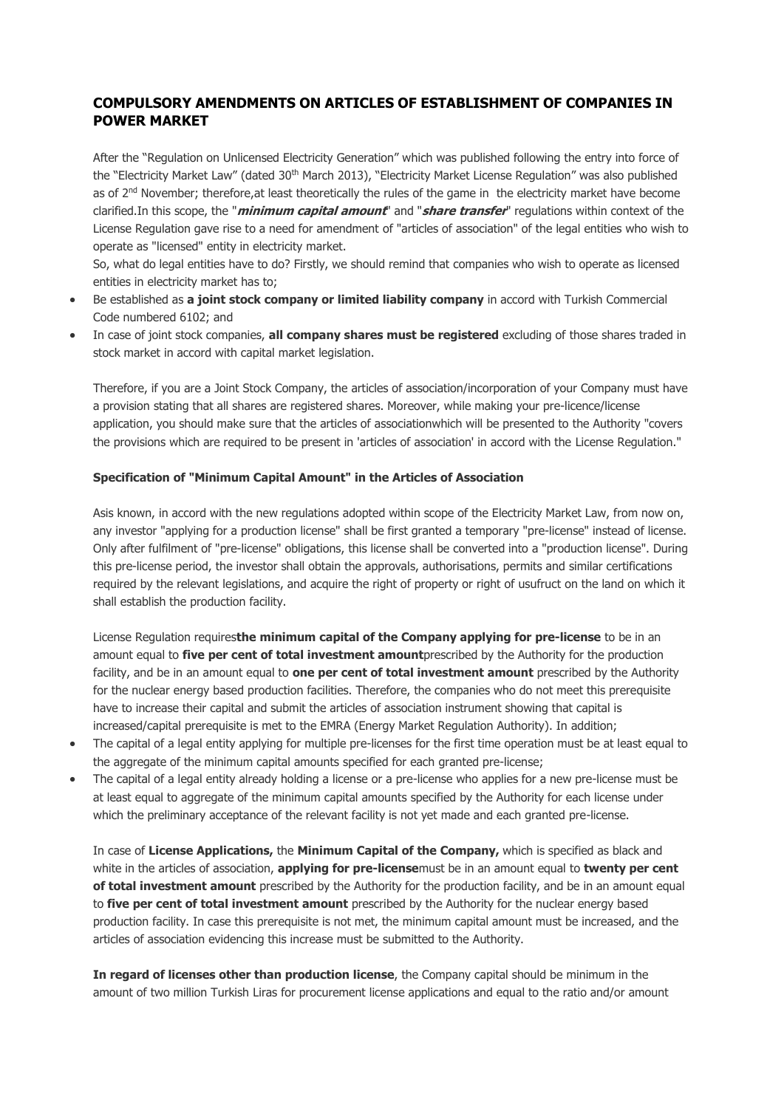## **COMPULSORY AMENDMENTS ON ARTICLES OF ESTABLISHMENT OF COMPANIES IN POWER MARKET**

After the "Regulation on Unlicensed Electricity Generation" which was published following the entry into force of the "Electricity Market Law" (dated 30<sup>th</sup> March 2013), "Electricity Market License Regulation" was also published as of 2<sup>nd</sup> November; therefore,at least theoretically the rules of the game in the electricity market have become clarified.In this scope, the "**minimum capital amount**" and "**share transfer**" regulations within context of the License Regulation gave rise to a need for amendment of "articles of association" of the legal entities who wish to operate as "licensed" entity in electricity market.

So, what do legal entities have to do? Firstly, we should remind that companies who wish to operate as licensed entities in electricity market has to;

- Be established as **a joint stock company or limited liability company** in accord with Turkish Commercial Code numbered 6102; and
- In case of joint stock companies, **all company shares must be registered** excluding of those shares traded in stock market in accord with capital market legislation.

Therefore, if you are a Joint Stock Company, the articles of association/incorporation of your Company must have a provision stating that all shares are registered shares. Moreover, while making your pre-licence/license application, you should make sure that the articles of associationwhich will be presented to the Authority "covers the provisions which are required to be present in 'articles of association' in accord with the License Regulation."

## **Specification of "Minimum Capital Amount" in the Articles of Association**

Asis known, in accord with the new regulations adopted within scope of the Electricity Market Law, from now on, any investor "applying for a production license" shall be first granted a temporary "pre-license" instead of license. Only after fulfilment of "pre-license" obligations, this license shall be converted into a "production license". During this pre-license period, the investor shall obtain the approvals, authorisations, permits and similar certifications required by the relevant legislations, and acquire the right of property or right of usufruct on the land on which it shall establish the production facility.

License Regulation requires**the minimum capital of the Company applying for pre-license** to be in an amount equal to **five per cent of total investment amount**prescribed by the Authority for the production facility, and be in an amount equal to **one per cent of total investment amount** prescribed by the Authority for the nuclear energy based production facilities. Therefore, the companies who do not meet this prerequisite have to increase their capital and submit the articles of association instrument showing that capital is increased/capital prerequisite is met to the EMRA (Energy Market Regulation Authority). In addition;

- The capital of a legal entity applying for multiple pre-licenses for the first time operation must be at least equal to the aggregate of the minimum capital amounts specified for each granted pre-license;
- The capital of a legal entity already holding a license or a pre-license who applies for a new pre-license must be at least equal to aggregate of the minimum capital amounts specified by the Authority for each license under which the preliminary acceptance of the relevant facility is not yet made and each granted pre-license.

In case of **License Applications,** the **Minimum Capital of the Company,** which is specified as black and white in the articles of association, **applying for pre-license**must be in an amount equal to **twenty per cent of total investment amount** prescribed by the Authority for the production facility, and be in an amount equal to **five per cent of total investment amount** prescribed by the Authority for the nuclear energy based production facility. In case this prerequisite is not met, the minimum capital amount must be increased, and the articles of association evidencing this increase must be submitted to the Authority.

**In regard of licenses other than production license**, the Company capital should be minimum in the amount of two million Turkish Liras for procurement license applications and equal to the ratio and/or amount